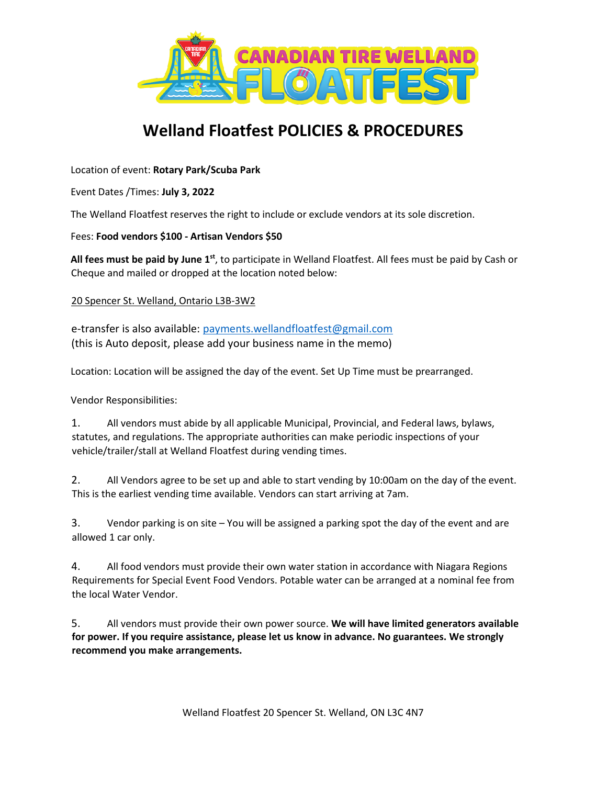

## **Welland Floatfest POLICIES & PROCEDURES**

Location of event: **Rotary Park/Scuba Park** 

Event Dates /Times: **July 3, 2022**

The Welland Floatfest reserves the right to include or exclude vendors at its sole discretion.

## Fees: **Food vendors \$100 - Artisan Vendors \$50**

All fees must be paid by June 1<sup>st</sup>, to participate in Welland Floatfest. All fees must be paid by Cash or Cheque and mailed or dropped at the location noted below:

## 20 Spencer St. Welland, Ontario L3B-3W2

e-transfer is also available: [payments.wellandfloatfest@gmail.com](mailto:payments.wellandfloatfest@gmail.com) (this is Auto deposit, please add your business name in the memo)

Location: Location will be assigned the day of the event. Set Up Time must be prearranged.

Vendor Responsibilities:

1. All vendors must abide by all applicable Municipal, Provincial, and Federal laws, bylaws, statutes, and regulations. The appropriate authorities can make periodic inspections of your vehicle/trailer/stall at Welland Floatfest during vending times.

2. All Vendors agree to be set up and able to start vending by 10:00am on the day of the event. This is the earliest vending time available. Vendors can start arriving at 7am.

3. Vendor parking is on site – You will be assigned a parking spot the day of the event and are allowed 1 car only.

4. All food vendors must provide their own water station in accordance with Niagara Regions Requirements for Special Event Food Vendors. Potable water can be arranged at a nominal fee from the local Water Vendor.

5. All vendors must provide their own power source. **We will have limited generators available for power. If you require assistance, please let us know in advance. No guarantees. We strongly recommend you make arrangements.** 

Welland Floatfest 20 Spencer St. Welland, ON L3C 4N7